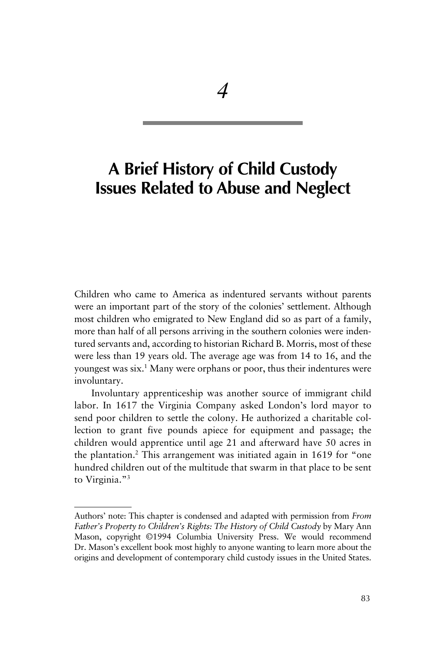# **A Brief History of Child Custody Issues Related to Abuse and Neglect**

Children who came to America as indentured servants without parents were an important part of the story of the colonies' settlement. Although most children who emigrated to New England did so as part of a family, more than half of all persons arriving in the southern colonies were indentured servants and, according to historian Richard B. Morris, most of these were less than 19 years old. The average age was from 14 to 16, and the voungest was six.<sup>1</sup> Many were orphans or poor, thus their indentures were involuntary.

Involuntary apprenticeship was another source of immigrant child labor. In 1617 the Virginia Company asked London's lord mayor to send poor children to settle the colony. He authorized a charitable collection to grant five pounds apiece for equipment and passage; the children would apprentice until age 21 and afterward have 50 acres in the plantation. <sup>2</sup> This arrangement was initiated again in 1619 for "one hundred children out of the multitude that swarm in that place to be sent to Virginia."<sup>3</sup>

Authors' note: This chapter is condensed and adapted with permission from *From Father's Property to Children's Rights: The History of Child Custody* by Mary Ann Mason, copyright ©1994 Columbia University Press. We would recommend Dr. Mason's excellent book most highly to anyone wanting to learn more about the origins and development of contemporary child custody issues in the United States.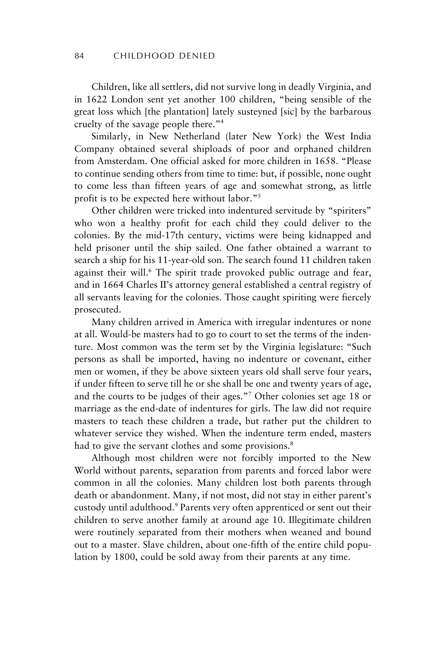Children, like all settlers, did not survive long in deadly Virginia, and in 1622 London sent yet another 100 children, "being sensible of the great loss which [the plantation] lately susteyned [sic] by the barbarous cruelty of the savage people there."4

Similarly, in New Netherland (later New York) the West India Company obtained several shiploads of poor and orphaned children from Amsterdam. One official asked for more children in 1658. "Please to continue sending others from time to time: but, if possible, none ought to come less than fifteen years of age and somewhat strong, as little profit is to be expected here without labor."5

Other children were tricked into indentured servitude by "spiriters" who won a healthy profit for each child they could deliver to the colonies. By the mid-17th century, victims were being kidnapped and held prisoner until the ship sailed. One father obtained a warrant to search a ship for his 11-year-old son. The search found 11 children taken against their will. <sup>6</sup> The spirit trade provoked public outrage and fear, and in 1664 Charles II's attorney general established a central registry of all servants leaving for the colonies. Those caught spiriting were fiercely prosecuted.

Many children arrived in America with irregular indentures or none at all. Would-be masters had to go to court to set the terms of the indenture. Most common was the term set by the Virginia legislature: "Such persons as shall be imported, having no indenture or covenant, either men or women, if they be above sixteen years old shall serve four years, if under fifteen to serve till he or she shall be one and twenty years of age, and the courts to be judges of their ages."7 Other colonies set age 18 or marriage as the end-date of indentures for girls. The law did not require masters to teach these children a trade, but rather put the children to whatever service they wished. When the indenture term ended, masters had to give the servant clothes and some provisions.<sup>8</sup>

Although most children were not forcibly imported to the New World without parents, separation from parents and forced labor were common in all the colonies. Many children lost both parents through death or abandonment. Many, if not most, did not stay in either parent's custody until adulthood. <sup>9</sup> Parents very often apprenticed or sent out their children to serve another family at around age 10. Illegitimate children were routinely separated from their mothers when weaned and bound out to a master. Slave children, about one-fifth of the entire child population by 1800, could be sold away from their parents at any time.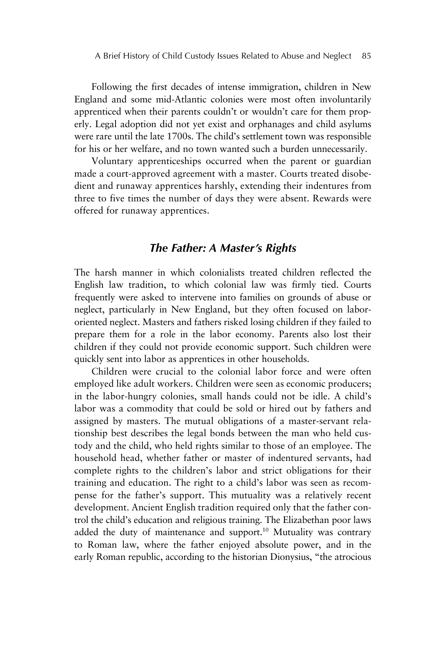Following the first decades of intense immigration, children in New England and some mid-Atlantic colonies were most often involuntarily apprenticed when their parents couldn't or wouldn't care for them properly. Legal adoption did not yet exist and orphanages and child asylums were rare until the late 1700s. The child's settlement town was responsible for his or her welfare, and no town wanted such a burden unnecessarily.

Voluntary apprenticeships occurred when the parent or guardian made a court-approved agreement with a master. Courts treated disobedient and runaway apprentices harshly, extending their indentures from three to five times the number of days they were absent. Rewards were offered for runaway apprentices.

## *The Father: A Master's Rights*

The harsh manner in which colonialists treated children reflected the English law tradition, to which colonial law was firmly tied. Courts frequently were asked to intervene into families on grounds of abuse or neglect, particularly in New England, but they often focused on labororiented neglect. Masters and fathers risked losing children if they failed to prepare them for a role in the labor economy. Parents also lost their children if they could not provide economic support. Such children were quickly sent into labor as apprentices in other households.

Children were crucial to the colonial labor force and were often employed like adult workers. Children were seen as economic producers; in the labor-hungry colonies, small hands could not be idle. A child's labor was a commodity that could be sold or hired out by fathers and assigned by masters. The mutual obligations of a master-servant relationship best describes the legal bonds between the man who held custody and the child, who held rights similar to those of an employee. The household head, whether father or master of indentured servants, had complete rights to the children's labor and strict obligations for their training and education. The right to a child's labor was seen as recompense for the father's support. This mutuality was a relatively recent development. Ancient English tradition required only that the father control the child's education and religious training. The Elizabethan poor laws added the duty of maintenance and support. <sup>10</sup> Mutuality was contrary to Roman law, where the father enjoyed absolute power, and in the early Roman republic, according to the historian Dionysius, "the atrocious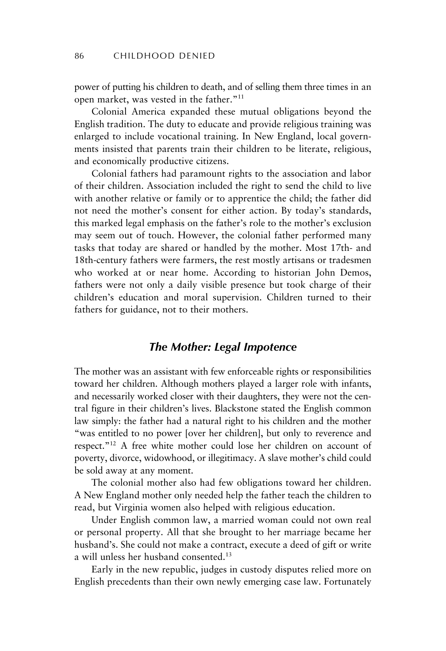power of putting his children to death, and of selling them three times in an open market, was vested in the father."<sup>11</sup>

Colonial America expanded these mutual obligations beyond the English tradition. The duty to educate and provide religious training was enlarged to include vocational training. In New England, local governments insisted that parents train their children to be literate, religious, and economically productive citizens.

Colonial fathers had paramount rights to the association and labor of their children. Association included the right to send the child to live with another relative or family or to apprentice the child; the father did not need the mother's consent for either action. By today's standards, this marked legal emphasis on the father's role to the mother's exclusion may seem out of touch. However, the colonial father performed many tasks that today are shared or handled by the mother. Most 17th- and 18th-century fathers were farmers, the rest mostly artisans or tradesmen who worked at or near home. According to historian John Demos, fathers were not only a daily visible presence but took charge of their children's education and moral supervision. Children turned to their fathers for guidance, not to their mothers.

## *The Mother: Legal Impotence*

The mother was an assistant with few enforceable rights or responsibilities toward her children. Although mothers played a larger role with infants, and necessarily worked closer with their daughters, they were not the central figure in their children's lives. Blackstone stated the English common law simply: the father had a natural right to his children and the mother "was entitled to no power [over her children], but only to reverence and respect."12 A free white mother could lose her children on account of poverty, divorce, widowhood, or illegitimacy. A slave mother's child could be sold away at any moment.

The colonial mother also had few obligations toward her children. A New England mother only needed help the father teach the children to read, but Virginia women also helped with religious education.

Under English common law, a married woman could not own real or personal property. All that she brought to her marriage became her husband's. She could not make a contract, execute a deed of gift or write a will unless her husband consented.<sup>13</sup>

Early in the new republic, judges in custody disputes relied more on English precedents than their own newly emerging case law. Fortunately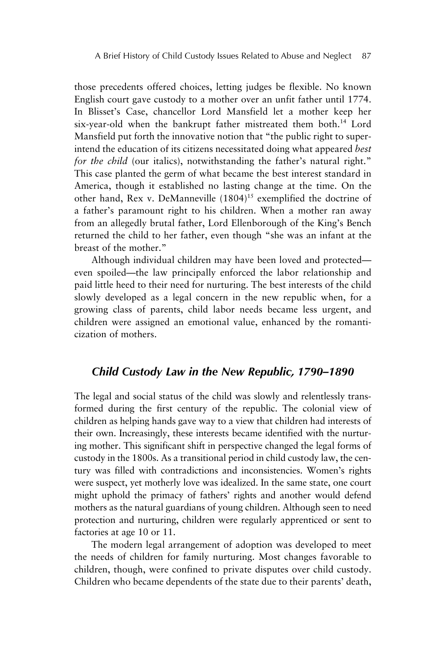those precedents offered choices, letting judges be flexible. No known English court gave custody to a mother over an unfit father until 1774. In Blisset's Case, chancellor Lord Mansfield let a mother keep her six-year-old when the bankrupt father mistreated them both. <sup>14</sup> Lord Mansfield put forth the innovative notion that "the public right to superintend the education of its citizens necessitated doing what appeared *best for the child* (our italics), notwithstanding the father's natural right." This case planted the germ of what became the best interest standard in America, though it established no lasting change at the time. On the other hand, Rex v. DeManneville (1804) <sup>15</sup> exemplified the doctrine of a father's paramount right to his children. When a mother ran away from an allegedly brutal father, Lord Ellenborough of the King's Bench returned the child to her father, even though "she was an infant at the breast of the mother."

Although individual children may have been loved and protected even spoiled—the law principally enforced the labor relationship and paid little heed to their need for nurturing. The best interests of the child slowly developed as a legal concern in the new republic when, for a growing class of parents, child labor needs became less urgent, and children were assigned an emotional value, enhanced by the romanticization of mothers.

## *Child Custody Law in the New Republic, 1790–1890*

The legal and social status of the child was slowly and relentlessly transformed during the first century of the republic. The colonial view of children as helping hands gave way to a view that children had interests of their own. Increasingly, these interests became identified with the nurturing mother. This significant shift in perspective changed the legal forms of custody in the 1800s. As a transitional period in child custody law, the century was filled with contradictions and inconsistencies. Women's rights were suspect, yet motherly love was idealized. In the same state, one court might uphold the primacy of fathers' rights and another would defend mothers as the natural guardians of young children. Although seen to need protection and nurturing, children were regularly apprenticed or sent to factories at age 10 or 11.

The modern legal arrangement of adoption was developed to meet the needs of children for family nurturing. Most changes favorable to children, though, were confined to private disputes over child custody. Children who became dependents of the state due to their parents' death,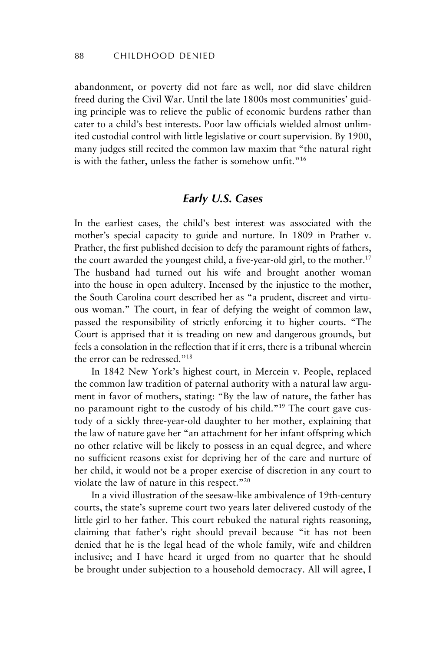abandonment, or poverty did not fare as well, nor did slave children freed during the Civil War. Until the late 1800s most communities' guiding principle was to relieve the public of economic burdens rather than cater to a child's best interests. Poor law officials wielded almost unlimited custodial control with little legislative or court supervision. By 1900, many judges still recited the common law maxim that "the natural right is with the father, unless the father is somehow unfit."<sup>16</sup>

## *Early U.S. Cases*

In the earliest cases, the child's best interest was associated with the mother's special capacity to guide and nurture. In 1809 in Prather v. Prather, the first published decision to defy the paramount rights of fathers, the court awarded the voungest child, a five-vear-old girl, to the mother.<sup>17</sup> The husband had turned out his wife and brought another woman into the house in open adultery. Incensed by the injustice to the mother, the South Carolina court described her as "a prudent, discreet and virtuous woman." The court, in fear of defying the weight of common law, passed the responsibility of strictly enforcing it to higher courts. "The Court is apprised that it is treading on new and dangerous grounds, but feels a consolation in the reflection that if it errs, there is a tribunal wherein the error can be redressed."18

In 1842 New York's highest court, in Mercein v. People, replaced the common law tradition of paternal authority with a natural law argument in favor of mothers, stating: "By the law of nature, the father has no paramount right to the custody of his child."19 The court gave custody of a sickly three-year-old daughter to her mother, explaining that the law of nature gave her "an attachment for her infant offspring which no other relative will be likely to possess in an equal degree, and where no sufficient reasons exist for depriving her of the care and nurture of her child, it would not be a proper exercise of discretion in any court to violate the law of nature in this respect."20

In a vivid illustration of the seesaw-like ambivalence of 19th-century courts, the state's supreme court two years later delivered custody of the little girl to her father. This court rebuked the natural rights reasoning, claiming that father's right should prevail because "it has not been denied that he is the legal head of the whole family, wife and children inclusive; and I have heard it urged from no quarter that he should be brought under subjection to a household democracy. All will agree, I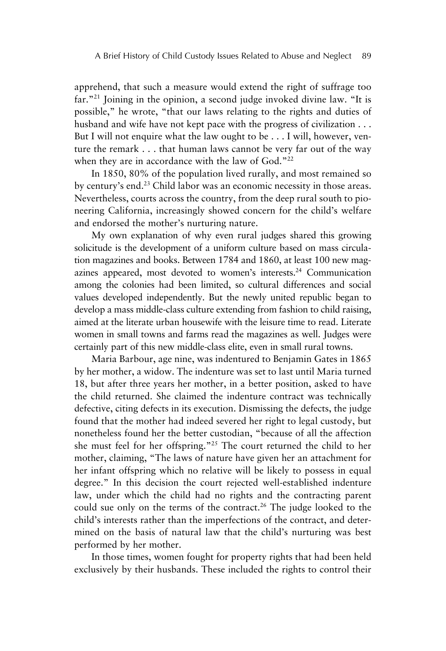apprehend, that such a measure would extend the right of suffrage too far."21 Joining in the opinion, a second judge invoked divine law. "It is possible," he wrote, "that our laws relating to the rights and duties of husband and wife have not kept pace with the progress of civilization . . . But I will not enquire what the law ought to be . . . I will, however, venture the remark . . . that human laws cannot be very far out of the way when they are in accordance with the law of God."<sup>22</sup>

In 1850, 80% of the population lived rurally, and most remained so by century's end. <sup>23</sup> Child labor was an economic necessity in those areas. Nevertheless, courts across the country, from the deep rural south to pioneering California, increasingly showed concern for the child's welfare and endorsed the mother's nurturing nature.

My own explanation of why even rural judges shared this growing solicitude is the development of a uniform culture based on mass circulation magazines and books. Between 1784 and 1860, at least 100 new magazines appeared, most devoted to women's interests. <sup>24</sup> Communication among the colonies had been limited, so cultural differences and social values developed independently. But the newly united republic began to develop a mass middle-class culture extending from fashion to child raising, aimed at the literate urban housewife with the leisure time to read. Literate women in small towns and farms read the magazines as well. Judges were certainly part of this new middle-class elite, even in small rural towns.

Maria Barbour, age nine, was indentured to Benjamin Gates in 1865 by her mother, a widow. The indenture was set to last until Maria turned 18, but after three years her mother, in a better position, asked to have the child returned. She claimed the indenture contract was technically defective, citing defects in its execution. Dismissing the defects, the judge found that the mother had indeed severed her right to legal custody, but nonetheless found her the better custodian, "because of all the affection she must feel for her offspring."25 The court returned the child to her mother, claiming, "The laws of nature have given her an attachment for her infant offspring which no relative will be likely to possess in equal degree." In this decision the court rejected well-established indenture law, under which the child had no rights and the contracting parent could sue only on the terms of the contract. <sup>26</sup> The judge looked to the child's interests rather than the imperfections of the contract, and determined on the basis of natural law that the child's nurturing was best performed by her mother.

In those times, women fought for property rights that had been held exclusively by their husbands. These included the rights to control their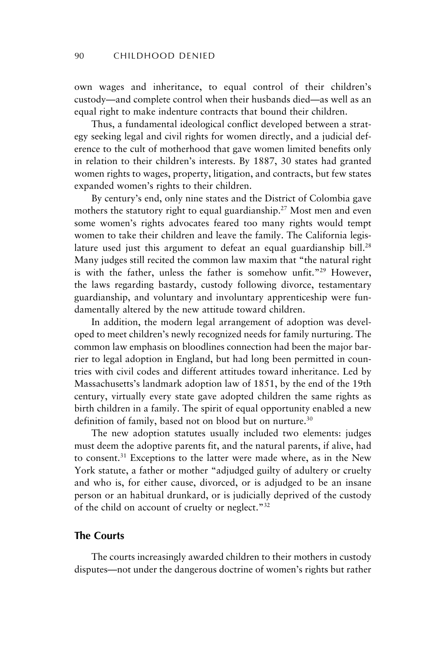own wages and inheritance, to equal control of their children's custody—and complete control when their husbands died—as well as an equal right to make indenture contracts that bound their children.

Thus, a fundamental ideological conflict developed between a strategy seeking legal and civil rights for women directly, and a judicial deference to the cult of motherhood that gave women limited benefits only in relation to their children's interests. By 1887, 30 states had granted women rights to wages, property, litigation, and contracts, but few states expanded women's rights to their children.

By century's end, only nine states and the District of Colombia gave mothers the statutory right to equal guardianship.<sup>27</sup> Most men and even some women's rights advocates feared too many rights would tempt women to take their children and leave the family. The California legislature used just this argument to defeat an equal guardianship bill.<sup>28</sup> Many judges still recited the common law maxim that "the natural right is with the father, unless the father is somehow unfit."29 However, the laws regarding bastardy, custody following divorce, testamentary guardianship, and voluntary and involuntary apprenticeship were fundamentally altered by the new attitude toward children.

In addition, the modern legal arrangement of adoption was developed to meet children's newly recognized needs for family nurturing. The common law emphasis on bloodlines connection had been the major barrier to legal adoption in England, but had long been permitted in countries with civil codes and different attitudes toward inheritance. Led by Massachusetts's landmark adoption law of 1851, by the end of the 19th century, virtually every state gave adopted children the same rights as birth children in a family. The spirit of equal opportunity enabled a new definition of family, based not on blood but on nurture. 30

The new adoption statutes usually included two elements: judges must deem the adoptive parents fit, and the natural parents, if alive, had to consent. <sup>31</sup> Exceptions to the latter were made where, as in the New York statute, a father or mother "adjudged guilty of adultery or cruelty and who is, for either cause, divorced, or is adjudged to be an insane person or an habitual drunkard, or is judicially deprived of the custody of the child on account of cruelty or neglect."<sup>32</sup>

#### **The Courts**

The courts increasingly awarded children to their mothers in custody disputes—not under the dangerous doctrine of women's rights but rather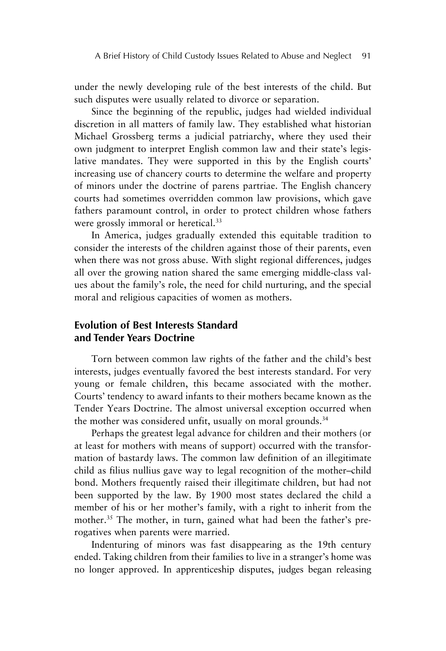under the newly developing rule of the best interests of the child. But such disputes were usually related to divorce or separation.

Since the beginning of the republic, judges had wielded individual discretion in all matters of family law. They established what historian Michael Grossberg terms a judicial patriarchy, where they used their own judgment to interpret English common law and their state's legislative mandates. They were supported in this by the English courts' increasing use of chancery courts to determine the welfare and property of minors under the doctrine of parens partriae. The English chancery courts had sometimes overridden common law provisions, which gave fathers paramount control, in order to protect children whose fathers were grossly immoral or heretical.<sup>33</sup>

In America, judges gradually extended this equitable tradition to consider the interests of the children against those of their parents, even when there was not gross abuse. With slight regional differences, judges all over the growing nation shared the same emerging middle-class values about the family's role, the need for child nurturing, and the special moral and religious capacities of women as mothers.

## **Evolution of Best Interests Standard and Tender Years Doctrine**

Torn between common law rights of the father and the child's best interests, judges eventually favored the best interests standard. For very young or female children, this became associated with the mother. Courts' tendency to award infants to their mothers became known as the Tender Years Doctrine. The almost universal exception occurred when the mother was considered unfit, usually on moral grounds.<sup>34</sup>

Perhaps the greatest legal advance for children and their mothers (or at least for mothers with means of support) occurred with the transformation of bastardy laws. The common law definition of an illegitimate child as filius nullius gave way to legal recognition of the mother–child bond. Mothers frequently raised their illegitimate children, but had not been supported by the law. By 1900 most states declared the child a member of his or her mother's family, with a right to inherit from the mother. <sup>35</sup> The mother, in turn, gained what had been the father's prerogatives when parents were married.

Indenturing of minors was fast disappearing as the 19th century ended. Taking children from their families to live in a stranger's home was no longer approved. In apprenticeship disputes, judges began releasing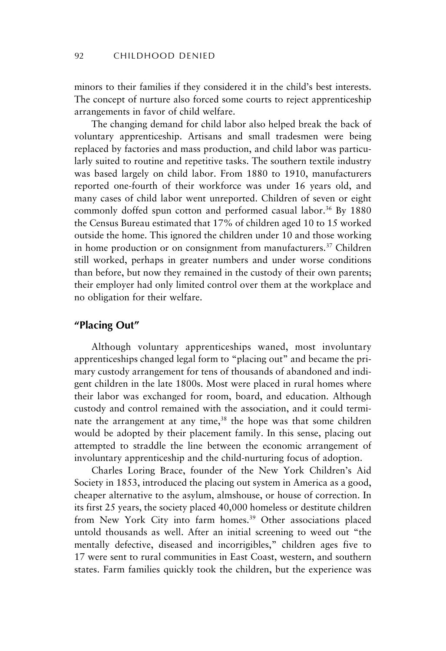minors to their families if they considered it in the child's best interests. The concept of nurture also forced some courts to reject apprenticeship arrangements in favor of child welfare.

The changing demand for child labor also helped break the back of voluntary apprenticeship. Artisans and small tradesmen were being replaced by factories and mass production, and child labor was particularly suited to routine and repetitive tasks. The southern textile industry was based largely on child labor. From 1880 to 1910, manufacturers reported one-fourth of their workforce was under 16 years old, and many cases of child labor went unreported. Children of seven or eight commonly doffed spun cotton and performed casual labor. <sup>36</sup> By 1880 the Census Bureau estimated that 17% of children aged 10 to 15 worked outside the home. This ignored the children under 10 and those working in home production or on consignment from manufacturers. <sup>37</sup> Children still worked, perhaps in greater numbers and under worse conditions than before, but now they remained in the custody of their own parents; their employer had only limited control over them at the workplace and no obligation for their welfare.

#### **"Placing Out"**

Although voluntary apprenticeships waned, most involuntary apprenticeships changed legal form to "placing out" and became the primary custody arrangement for tens of thousands of abandoned and indigent children in the late 1800s. Most were placed in rural homes where their labor was exchanged for room, board, and education. Although custody and control remained with the association, and it could terminate the arrangement at any time.<sup>38</sup> the hope was that some children would be adopted by their placement family. In this sense, placing out attempted to straddle the line between the economic arrangement of involuntary apprenticeship and the child-nurturing focus of adoption.

Charles Loring Brace, founder of the New York Children's Aid Society in 1853, introduced the placing out system in America as a good, cheaper alternative to the asylum, almshouse, or house of correction. In its first 25 years, the society placed 40,000 homeless or destitute children from New York City into farm homes. <sup>39</sup> Other associations placed untold thousands as well. After an initial screening to weed out "the mentally defective, diseased and incorrigibles," children ages five to 17 were sent to rural communities in East Coast, western, and southern states. Farm families quickly took the children, but the experience was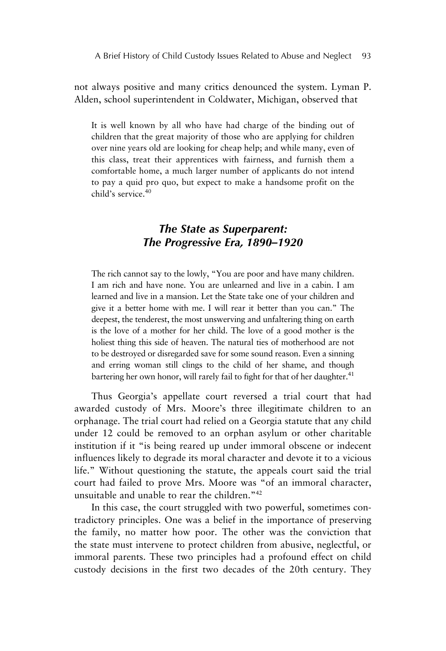not always positive and many critics denounced the system. Lyman P. Alden, school superintendent in Coldwater, Michigan, observed that

It is well known by all who have had charge of the binding out of children that the great majority of those who are applying for children over nine years old are looking for cheap help; and while many, even of this class, treat their apprentices with fairness, and furnish them a comfortable home, a much larger number of applicants do not intend to pay a quid pro quo, but expect to make a handsome profit on the child's service. 40

# *The State as Superparent: The Progressive Era, 1890–1920*

The rich cannot say to the lowly, "You are poor and have many children. I am rich and have none. You are unlearned and live in a cabin. I am learned and live in a mansion. Let the State take one of your children and give it a better home with me. I will rear it better than you can." The deepest, the tenderest, the most unswerving and unfaltering thing on earth is the love of a mother for her child. The love of a good mother is the holiest thing this side of heaven. The natural ties of motherhood are not to be destroyed or disregarded save for some sound reason. Even a sinning and erring woman still clings to the child of her shame, and though bartering her own honor, will rarely fail to fight for that of her daughter.<sup>41</sup>

Thus Georgia's appellate court reversed a trial court that had awarded custody of Mrs. Moore's three illegitimate children to an orphanage. The trial court had relied on a Georgia statute that any child under 12 could be removed to an orphan asylum or other charitable institution if it "is being reared up under immoral obscene or indecent influences likely to degrade its moral character and devote it to a vicious life." Without questioning the statute, the appeals court said the trial court had failed to prove Mrs. Moore was "of an immoral character, unsuitable and unable to rear the children."42

In this case, the court struggled with two powerful, sometimes contradictory principles. One was a belief in the importance of preserving the family, no matter how poor. The other was the conviction that the state must intervene to protect children from abusive, neglectful, or immoral parents. These two principles had a profound effect on child custody decisions in the first two decades of the 20th century. They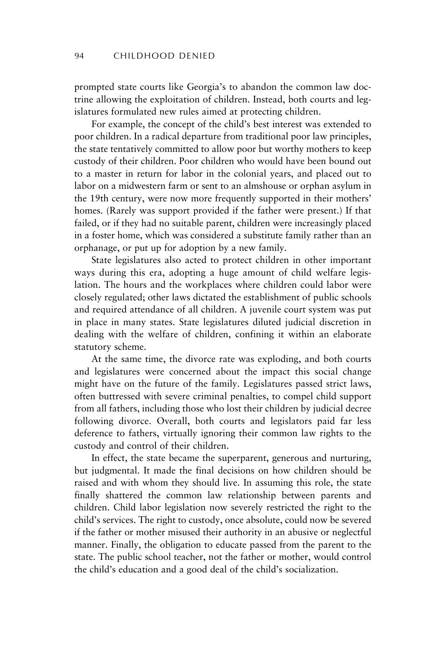prompted state courts like Georgia's to abandon the common law doctrine allowing the exploitation of children. Instead, both courts and legislatures formulated new rules aimed at protecting children.

For example, the concept of the child's best interest was extended to poor children. In a radical departure from traditional poor law principles, the state tentatively committed to allow poor but worthy mothers to keep custody of their children. Poor children who would have been bound out to a master in return for labor in the colonial years, and placed out to labor on a midwestern farm or sent to an almshouse or orphan asylum in the 19th century, were now more frequently supported in their mothers' homes. (Rarely was support provided if the father were present.) If that failed, or if they had no suitable parent, children were increasingly placed in a foster home, which was considered a substitute family rather than an orphanage, or put up for adoption by a new family.

State legislatures also acted to protect children in other important ways during this era, adopting a huge amount of child welfare legislation. The hours and the workplaces where children could labor were closely regulated; other laws dictated the establishment of public schools and required attendance of all children. A juvenile court system was put in place in many states. State legislatures diluted judicial discretion in dealing with the welfare of children, confining it within an elaborate statutory scheme.

At the same time, the divorce rate was exploding, and both courts and legislatures were concerned about the impact this social change might have on the future of the family. Legislatures passed strict laws, often buttressed with severe criminal penalties, to compel child support from all fathers, including those who lost their children by judicial decree following divorce. Overall, both courts and legislators paid far less deference to fathers, virtually ignoring their common law rights to the custody and control of their children.

In effect, the state became the superparent, generous and nurturing, but judgmental. It made the final decisions on how children should be raised and with whom they should live. In assuming this role, the state finally shattered the common law relationship between parents and children. Child labor legislation now severely restricted the right to the child's services. The right to custody, once absolute, could now be severed if the father or mother misused their authority in an abusive or neglectful manner. Finally, the obligation to educate passed from the parent to the state. The public school teacher, not the father or mother, would control the child's education and a good deal of the child's socialization.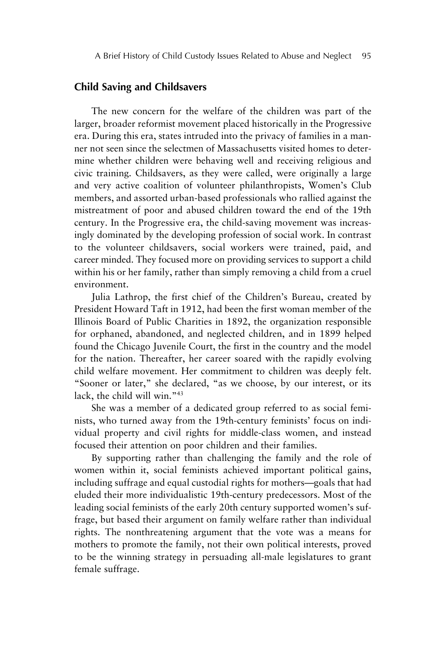#### **Child Saving and Childsavers**

The new concern for the welfare of the children was part of the larger, broader reformist movement placed historically in the Progressive era. During this era, states intruded into the privacy of families in a manner not seen since the selectmen of Massachusetts visited homes to determine whether children were behaving well and receiving religious and civic training. Childsavers, as they were called, were originally a large and very active coalition of volunteer philanthropists, Women's Club members, and assorted urban-based professionals who rallied against the mistreatment of poor and abused children toward the end of the 19th century. In the Progressive era, the child-saving movement was increasingly dominated by the developing profession of social work. In contrast to the volunteer childsavers, social workers were trained, paid, and career minded. They focused more on providing services to support a child within his or her family, rather than simply removing a child from a cruel environment.

Julia Lathrop, the first chief of the Children's Bureau, created by President Howard Taft in 1912, had been the first woman member of the Illinois Board of Public Charities in 1892, the organization responsible for orphaned, abandoned, and neglected children, and in 1899 helped found the Chicago Juvenile Court, the first in the country and the model for the nation. Thereafter, her career soared with the rapidly evolving child welfare movement. Her commitment to children was deeply felt. "Sooner or later," she declared, "as we choose, by our interest, or its lack, the child will win."43

She was a member of a dedicated group referred to as social feminists, who turned away from the 19th-century feminists' focus on individual property and civil rights for middle-class women, and instead focused their attention on poor children and their families.

By supporting rather than challenging the family and the role of women within it, social feminists achieved important political gains, including suffrage and equal custodial rights for mothers—goals that had eluded their more individualistic 19th-century predecessors. Most of the leading social feminists of the early 20th century supported women's suffrage, but based their argument on family welfare rather than individual rights. The nonthreatening argument that the vote was a means for mothers to promote the family, not their own political interests, proved to be the winning strategy in persuading all-male legislatures to grant female suffrage.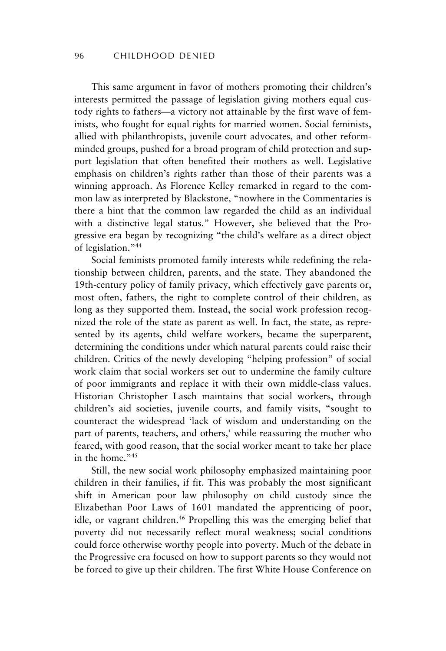This same argument in favor of mothers promoting their children's interests permitted the passage of legislation giving mothers equal custody rights to fathers—a victory not attainable by the first wave of feminists, who fought for equal rights for married women. Social feminists, allied with philanthropists, juvenile court advocates, and other reformminded groups, pushed for a broad program of child protection and support legislation that often benefited their mothers as well. Legislative emphasis on children's rights rather than those of their parents was a winning approach. As Florence Kelley remarked in regard to the common law as interpreted by Blackstone, "nowhere in the Commentaries is there a hint that the common law regarded the child as an individual with a distinctive legal status." However, she believed that the Progressive era began by recognizing "the child's welfare as a direct object of legislation."44

Social feminists promoted family interests while redefining the relationship between children, parents, and the state. They abandoned the 19th-century policy of family privacy, which effectively gave parents or, most often, fathers, the right to complete control of their children, as long as they supported them. Instead, the social work profession recognized the role of the state as parent as well. In fact, the state, as represented by its agents, child welfare workers, became the superparent, determining the conditions under which natural parents could raise their children. Critics of the newly developing "helping profession" of social work claim that social workers set out to undermine the family culture of poor immigrants and replace it with their own middle-class values. Historian Christopher Lasch maintains that social workers, through children's aid societies, juvenile courts, and family visits, "sought to counteract the widespread 'lack of wisdom and understanding on the part of parents, teachers, and others,' while reassuring the mother who feared, with good reason, that the social worker meant to take her place in the home."<sup>45</sup>

Still, the new social work philosophy emphasized maintaining poor children in their families, if fit. This was probably the most significant shift in American poor law philosophy on child custody since the Elizabethan Poor Laws of 1601 mandated the apprenticing of poor, idle, or vagrant children. <sup>46</sup> Propelling this was the emerging belief that poverty did not necessarily reflect moral weakness; social conditions could force otherwise worthy people into poverty. Much of the debate in the Progressive era focused on how to support parents so they would not be forced to give up their children. The first White House Conference on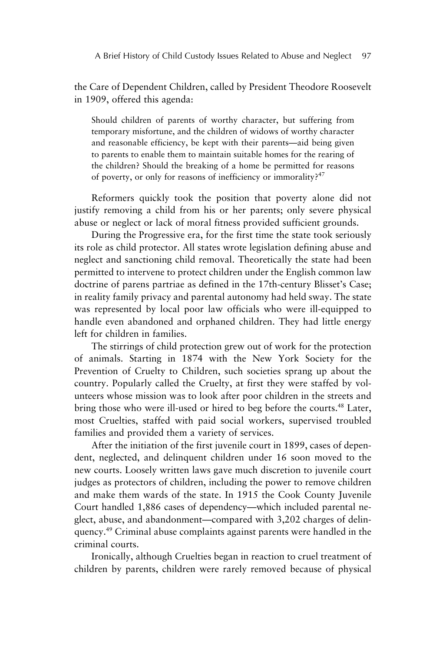the Care of Dependent Children, called by President Theodore Roosevelt in 1909, offered this agenda:

Should children of parents of worthy character, but suffering from temporary misfortune, and the children of widows of worthy character and reasonable efficiency, be kept with their parents—aid being given to parents to enable them to maintain suitable homes for the rearing of the children? Should the breaking of a home be permitted for reasons of poverty, or only for reasons of inefficiency or immorality?47

Reformers quickly took the position that poverty alone did not justify removing a child from his or her parents; only severe physical abuse or neglect or lack of moral fitness provided sufficient grounds.

During the Progressive era, for the first time the state took seriously its role as child protector. All states wrote legislation defining abuse and neglect and sanctioning child removal. Theoretically the state had been permitted to intervene to protect children under the English common law doctrine of parens partriae as defined in the 17th-century Blisset's Case; in reality family privacy and parental autonomy had held sway. The state was represented by local poor law officials who were ill-equipped to handle even abandoned and orphaned children. They had little energy left for children in families.

The stirrings of child protection grew out of work for the protection of animals. Starting in 1874 with the New York Society for the Prevention of Cruelty to Children, such societies sprang up about the country. Popularly called the Cruelty, at first they were staffed by volunteers whose mission was to look after poor children in the streets and bring those who were ill-used or hired to beg before the courts. <sup>48</sup> Later, most Cruelties, staffed with paid social workers, supervised troubled families and provided them a variety of services.

After the initiation of the first juvenile court in 1899, cases of dependent, neglected, and delinquent children under 16 soon moved to the new courts. Loosely written laws gave much discretion to juvenile court judges as protectors of children, including the power to remove children and make them wards of the state. In 1915 the Cook County Juvenile Court handled 1,886 cases of dependency—which included parental neglect, abuse, and abandonment—compared with 3,202 charges of delinquency.<sup>49</sup> Criminal abuse complaints against parents were handled in the criminal courts.

Ironically, although Cruelties began in reaction to cruel treatment of children by parents, children were rarely removed because of physical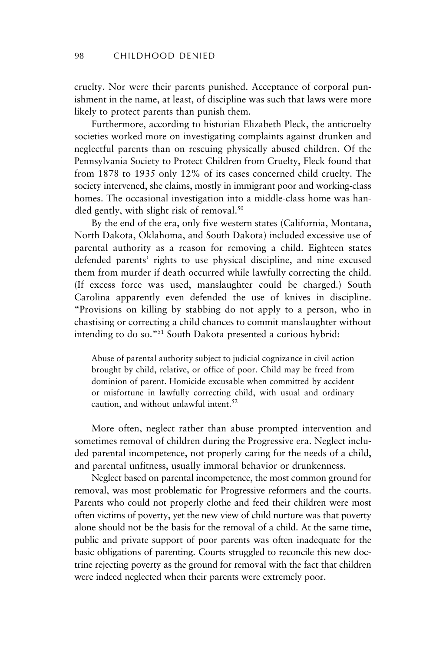cruelty. Nor were their parents punished. Acceptance of corporal punishment in the name, at least, of discipline was such that laws were more likely to protect parents than punish them.

Furthermore, according to historian Elizabeth Pleck, the anticruelty societies worked more on investigating complaints against drunken and neglectful parents than on rescuing physically abused children. Of the Pennsylvania Society to Protect Children from Cruelty, Fleck found that from 1878 to 1935 only 12% of its cases concerned child cruelty. The society intervened, she claims, mostly in immigrant poor and working-class homes. The occasional investigation into a middle-class home was handled gently, with slight risk of removal. 50

By the end of the era, only five western states (California, Montana, North Dakota, Oklahoma, and South Dakota) included excessive use of parental authority as a reason for removing a child. Eighteen states defended parents' rights to use physical discipline, and nine excused them from murder if death occurred while lawfully correcting the child. (If excess force was used, manslaughter could be charged.) South Carolina apparently even defended the use of knives in discipline. "Provisions on killing by stabbing do not apply to a person, who in chastising or correcting a child chances to commit manslaughter without intending to do so."51 South Dakota presented a curious hybrid:

Abuse of parental authority subject to judicial cognizance in civil action brought by child, relative, or office of poor. Child may be freed from dominion of parent. Homicide excusable when committed by accident or misfortune in lawfully correcting child, with usual and ordinary caution, and without unlawful intent. 52

More often, neglect rather than abuse prompted intervention and sometimes removal of children during the Progressive era. Neglect included parental incompetence, not properly caring for the needs of a child, and parental unfitness, usually immoral behavior or drunkenness.

Neglect based on parental incompetence, the most common ground for removal, was most problematic for Progressive reformers and the courts. Parents who could not properly clothe and feed their children were most often victims of poverty, yet the new view of child nurture was that poverty alone should not be the basis for the removal of a child. At the same time, public and private support of poor parents was often inadequate for the basic obligations of parenting. Courts struggled to reconcile this new doctrine rejecting poverty as the ground for removal with the fact that children were indeed neglected when their parents were extremely poor.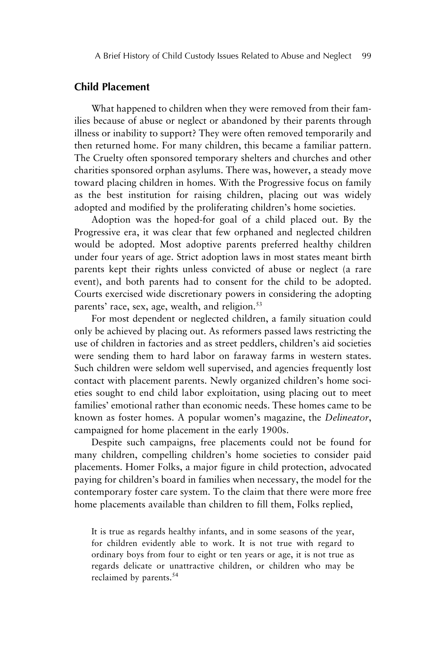## **Child Placement**

What happened to children when they were removed from their families because of abuse or neglect or abandoned by their parents through illness or inability to support? They were often removed temporarily and then returned home. For many children, this became a familiar pattern. The Cruelty often sponsored temporary shelters and churches and other charities sponsored orphan asylums. There was, however, a steady move toward placing children in homes. With the Progressive focus on family as the best institution for raising children, placing out was widely adopted and modified by the proliferating children's home societies.

Adoption was the hoped-for goal of a child placed out. By the Progressive era, it was clear that few orphaned and neglected children would be adopted. Most adoptive parents preferred healthy children under four years of age. Strict adoption laws in most states meant birth parents kept their rights unless convicted of abuse or neglect (a rare event), and both parents had to consent for the child to be adopted. Courts exercised wide discretionary powers in considering the adopting parents' race, sex, age, wealth, and religion.<sup>53</sup>

For most dependent or neglected children, a family situation could only be achieved by placing out. As reformers passed laws restricting the use of children in factories and as street peddlers, children's aid societies were sending them to hard labor on faraway farms in western states. Such children were seldom well supervised, and agencies frequently lost contact with placement parents. Newly organized children's home societies sought to end child labor exploitation, using placing out to meet families' emotional rather than economic needs. These homes came to be known as foster homes. A popular women's magazine, the *Delineator*, campaigned for home placement in the early 1900s.

Despite such campaigns, free placements could not be found for many children, compelling children's home societies to consider paid placements. Homer Folks, a major figure in child protection, advocated paying for children's board in families when necessary, the model for the contemporary foster care system. To the claim that there were more free home placements available than children to fill them, Folks replied,

It is true as regards healthy infants, and in some seasons of the year, for children evidently able to work. It is not true with regard to ordinary boys from four to eight or ten years or age, it is not true as regards delicate or unattractive children, or children who may be reclaimed by parents. 54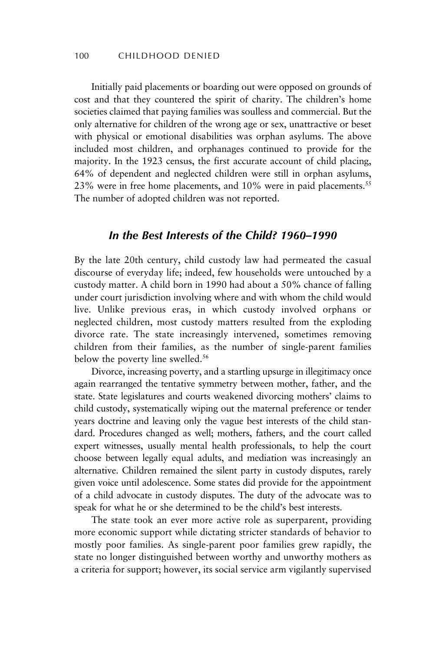#### 100 CHILDHOOD DENIED

Initially paid placements or boarding out were opposed on grounds of cost and that they countered the spirit of charity. The children's home societies claimed that paying families was soulless and commercial. But the only alternative for children of the wrong age or sex, unattractive or beset with physical or emotional disabilities was orphan asylums. The above included most children, and orphanages continued to provide for the majority. In the 1923 census, the first accurate account of child placing, 64% of dependent and neglected children were still in orphan asylums, 23% were in free home placements, and  $10\%$  were in paid placements.<sup>55</sup> The number of adopted children was not reported.

## *In the Best Interests of the Child? 1960–1990*

By the late 20th century, child custody law had permeated the casual discourse of everyday life; indeed, few households were untouched by a custody matter. A child born in 1990 had about a 50% chance of falling under court jurisdiction involving where and with whom the child would live. Unlike previous eras, in which custody involved orphans or neglected children, most custody matters resulted from the exploding divorce rate. The state increasingly intervened, sometimes removing children from their families, as the number of single-parent families below the poverty line swelled. 56

Divorce, increasing poverty, and a startling upsurge in illegitimacy once again rearranged the tentative symmetry between mother, father, and the state. State legislatures and courts weakened divorcing mothers' claims to child custody, systematically wiping out the maternal preference or tender years doctrine and leaving only the vague best interests of the child standard. Procedures changed as well; mothers, fathers, and the court called expert witnesses, usually mental health professionals, to help the court choose between legally equal adults, and mediation was increasingly an alternative. Children remained the silent party in custody disputes, rarely given voice until adolescence. Some states did provide for the appointment of a child advocate in custody disputes. The duty of the advocate was to speak for what he or she determined to be the child's best interests.

The state took an ever more active role as superparent, providing more economic support while dictating stricter standards of behavior to mostly poor families. As single-parent poor families grew rapidly, the state no longer distinguished between worthy and unworthy mothers as a criteria for support; however, its social service arm vigilantly supervised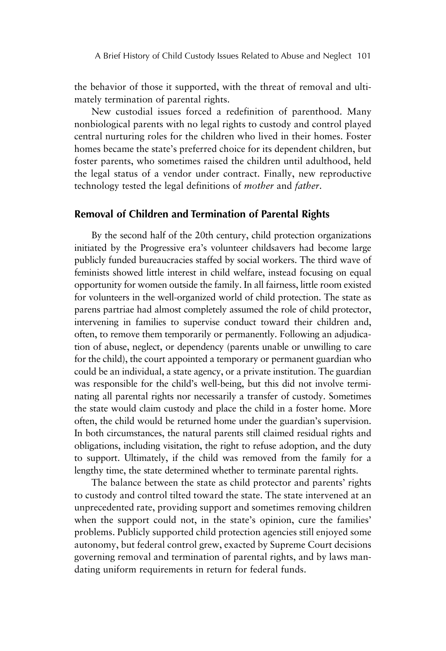the behavior of those it supported, with the threat of removal and ultimately termination of parental rights.

New custodial issues forced a redefinition of parenthood. Many nonbiological parents with no legal rights to custody and control played central nurturing roles for the children who lived in their homes. Foster homes became the state's preferred choice for its dependent children, but foster parents, who sometimes raised the children until adulthood, held the legal status of a vendor under contract. Finally, new reproductive technology tested the legal definitions of *mother* and *father*.

#### **Removal of Children and Termination of Parental Rights**

By the second half of the 20th century, child protection organizations initiated by the Progressive era's volunteer childsavers had become large publicly funded bureaucracies staffed by social workers. The third wave of feminists showed little interest in child welfare, instead focusing on equal opportunity for women outside the family. In all fairness, little room existed for volunteers in the well-organized world of child protection. The state as parens partriae had almost completely assumed the role of child protector, intervening in families to supervise conduct toward their children and, often, to remove them temporarily or permanently. Following an adjudication of abuse, neglect, or dependency (parents unable or unwilling to care for the child), the court appointed a temporary or permanent guardian who could be an individual, a state agency, or a private institution. The guardian was responsible for the child's well-being, but this did not involve terminating all parental rights nor necessarily a transfer of custody. Sometimes the state would claim custody and place the child in a foster home. More often, the child would be returned home under the guardian's supervision. In both circumstances, the natural parents still claimed residual rights and obligations, including visitation, the right to refuse adoption, and the duty to support. Ultimately, if the child was removed from the family for a lengthy time, the state determined whether to terminate parental rights.

The balance between the state as child protector and parents' rights to custody and control tilted toward the state. The state intervened at an unprecedented rate, providing support and sometimes removing children when the support could not, in the state's opinion, cure the families' problems. Publicly supported child protection agencies still enjoyed some autonomy, but federal control grew, exacted by Supreme Court decisions governing removal and termination of parental rights, and by laws mandating uniform requirements in return for federal funds.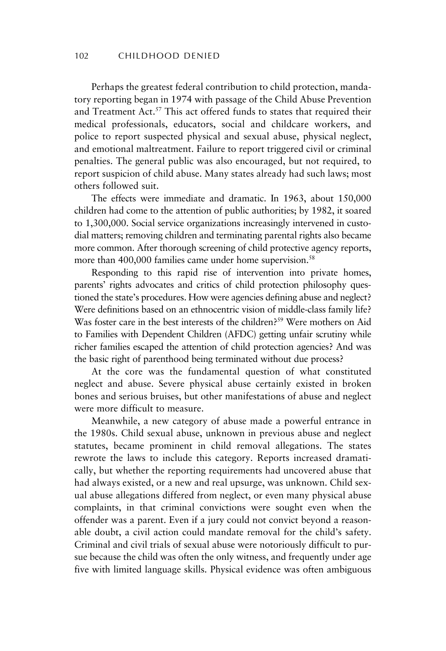Perhaps the greatest federal contribution to child protection, mandatory reporting began in 1974 with passage of the Child Abuse Prevention and Treatment Act. <sup>57</sup> This act offered funds to states that required their medical professionals, educators, social and childcare workers, and police to report suspected physical and sexual abuse, physical neglect, and emotional maltreatment. Failure to report triggered civil or criminal penalties. The general public was also encouraged, but not required, to report suspicion of child abuse. Many states already had such laws; most others followed suit.

The effects were immediate and dramatic. In 1963, about 150,000 children had come to the attention of public authorities; by 1982, it soared to 1,300,000. Social service organizations increasingly intervened in custodial matters; removing children and terminating parental rights also became more common. After thorough screening of child protective agency reports, more than 400,000 families came under home supervision.<sup>58</sup>

Responding to this rapid rise of intervention into private homes, parents' rights advocates and critics of child protection philosophy questioned the state's procedures. How were agencies defining abuse and neglect? Were definitions based on an ethnocentric vision of middle-class family life? Was foster care in the best interests of the children?<sup>59</sup> Were mothers on Aid to Families with Dependent Children (AFDC) getting unfair scrutiny while richer families escaped the attention of child protection agencies? And was the basic right of parenthood being terminated without due process?

At the core was the fundamental question of what constituted neglect and abuse. Severe physical abuse certainly existed in broken bones and serious bruises, but other manifestations of abuse and neglect were more difficult to measure.

Meanwhile, a new category of abuse made a powerful entrance in the 1980s. Child sexual abuse, unknown in previous abuse and neglect statutes, became prominent in child removal allegations. The states rewrote the laws to include this category. Reports increased dramatically, but whether the reporting requirements had uncovered abuse that had always existed, or a new and real upsurge, was unknown. Child sexual abuse allegations differed from neglect, or even many physical abuse complaints, in that criminal convictions were sought even when the offender was a parent. Even if a jury could not convict beyond a reasonable doubt, a civil action could mandate removal for the child's safety. Criminal and civil trials of sexual abuse were notoriously difficult to pursue because the child was often the only witness, and frequently under age five with limited language skills. Physical evidence was often ambiguous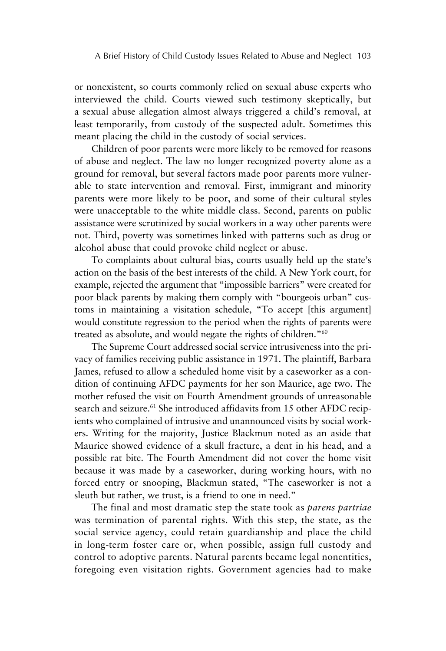or nonexistent, so courts commonly relied on sexual abuse experts who interviewed the child. Courts viewed such testimony skeptically, but a sexual abuse allegation almost always triggered a child's removal, at least temporarily, from custody of the suspected adult. Sometimes this meant placing the child in the custody of social services.

Children of poor parents were more likely to be removed for reasons of abuse and neglect. The law no longer recognized poverty alone as a ground for removal, but several factors made poor parents more vulnerable to state intervention and removal. First, immigrant and minority parents were more likely to be poor, and some of their cultural styles were unacceptable to the white middle class. Second, parents on public assistance were scrutinized by social workers in a way other parents were not. Third, poverty was sometimes linked with patterns such as drug or alcohol abuse that could provoke child neglect or abuse.

To complaints about cultural bias, courts usually held up the state's action on the basis of the best interests of the child. A New York court, for example, rejected the argument that "impossible barriers" were created for poor black parents by making them comply with "bourgeois urban" customs in maintaining a visitation schedule, "To accept [this argument] would constitute regression to the period when the rights of parents were treated as absolute, and would negate the rights of children."60

The Supreme Court addressed social service intrusiveness into the privacy of families receiving public assistance in 1971. The plaintiff, Barbara James, refused to allow a scheduled home visit by a caseworker as a condition of continuing AFDC payments for her son Maurice, age two. The mother refused the visit on Fourth Amendment grounds of unreasonable search and seizure.<sup>61</sup> She introduced affidavits from 15 other AFDC recipients who complained of intrusive and unannounced visits by social workers. Writing for the majority, Justice Blackmun noted as an aside that Maurice showed evidence of a skull fracture, a dent in his head, and a possible rat bite. The Fourth Amendment did not cover the home visit because it was made by a caseworker, during working hours, with no forced entry or snooping, Blackmun stated, "The caseworker is not a sleuth but rather, we trust, is a friend to one in need."

The final and most dramatic step the state took as *parens partriae* was termination of parental rights. With this step, the state, as the social service agency, could retain guardianship and place the child in long-term foster care or, when possible, assign full custody and control to adoptive parents. Natural parents became legal nonentities, foregoing even visitation rights. Government agencies had to make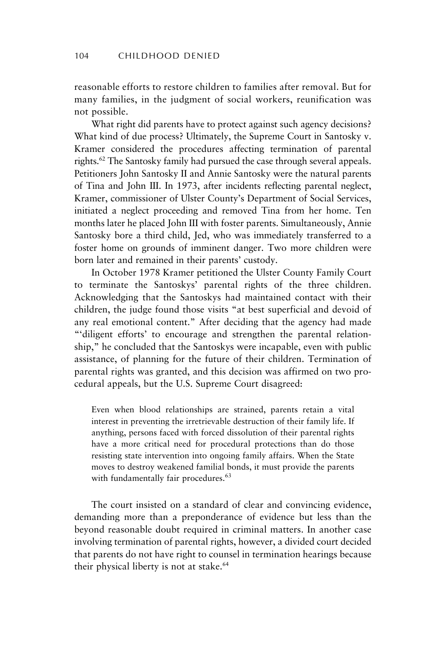reasonable efforts to restore children to families after removal. But for many families, in the judgment of social workers, reunification was not possible.

What right did parents have to protect against such agency decisions? What kind of due process? Ultimately, the Supreme Court in Santosky v. Kramer considered the procedures affecting termination of parental rights. <sup>62</sup> The Santosky family had pursued the case through several appeals. Petitioners John Santosky II and Annie Santosky were the natural parents of Tina and John III. In 1973, after incidents reflecting parental neglect, Kramer, commissioner of Ulster County's Department of Social Services, initiated a neglect proceeding and removed Tina from her home. Ten months later he placed John III with foster parents. Simultaneously, Annie Santosky bore a third child, Jed, who was immediately transferred to a foster home on grounds of imminent danger. Two more children were born later and remained in their parents' custody.

In October 1978 Kramer petitioned the Ulster County Family Court to terminate the Santoskys' parental rights of the three children. Acknowledging that the Santoskys had maintained contact with their children, the judge found those visits "at best superficial and devoid of any real emotional content." After deciding that the agency had made "'diligent efforts' to encourage and strengthen the parental relationship," he concluded that the Santoskys were incapable, even with public assistance, of planning for the future of their children. Termination of parental rights was granted, and this decision was affirmed on two procedural appeals, but the U.S. Supreme Court disagreed:

Even when blood relationships are strained, parents retain a vital interest in preventing the irretrievable destruction of their family life. If anything, persons faced with forced dissolution of their parental rights have a more critical need for procedural protections than do those resisting state intervention into ongoing family affairs. When the State moves to destroy weakened familial bonds, it must provide the parents with fundamentally fair procedures.<sup>63</sup>

The court insisted on a standard of clear and convincing evidence, demanding more than a preponderance of evidence but less than the beyond reasonable doubt required in criminal matters. In another case involving termination of parental rights, however, a divided court decided that parents do not have right to counsel in termination hearings because their physical liberty is not at stake. 64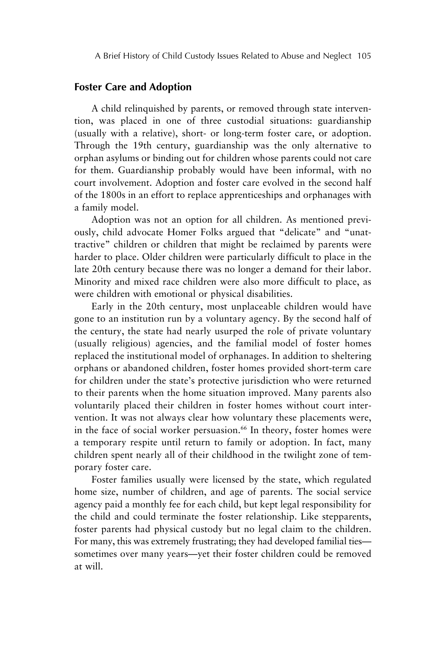A Brief History of Child Custody Issues Related to Abuse and Neglect 105

#### **Foster Care and Adoption**

A child relinquished by parents, or removed through state intervention, was placed in one of three custodial situations: guardianship (usually with a relative), short- or long-term foster care, or adoption. Through the 19th century, guardianship was the only alternative to orphan asylums or binding out for children whose parents could not care for them. Guardianship probably would have been informal, with no court involvement. Adoption and foster care evolved in the second half of the 1800s in an effort to replace apprenticeships and orphanages with a family model.

Adoption was not an option for all children. As mentioned previously, child advocate Homer Folks argued that "delicate" and "unattractive" children or children that might be reclaimed by parents were harder to place. Older children were particularly difficult to place in the late 20th century because there was no longer a demand for their labor. Minority and mixed race children were also more difficult to place, as were children with emotional or physical disabilities.

Early in the 20th century, most unplaceable children would have gone to an institution run by a voluntary agency. By the second half of the century, the state had nearly usurped the role of private voluntary (usually religious) agencies, and the familial model of foster homes replaced the institutional model of orphanages. In addition to sheltering orphans or abandoned children, foster homes provided short-term care for children under the state's protective jurisdiction who were returned to their parents when the home situation improved. Many parents also voluntarily placed their children in foster homes without court intervention. It was not always clear how voluntary these placements were, in the face of social worker persuasion. <sup>66</sup> In theory, foster homes were a temporary respite until return to family or adoption. In fact, many children spent nearly all of their childhood in the twilight zone of temporary foster care.

Foster families usually were licensed by the state, which regulated home size, number of children, and age of parents. The social service agency paid a monthly fee for each child, but kept legal responsibility for the child and could terminate the foster relationship. Like stepparents, foster parents had physical custody but no legal claim to the children. For many, this was extremely frustrating; they had developed familial ties sometimes over many years—yet their foster children could be removed at will.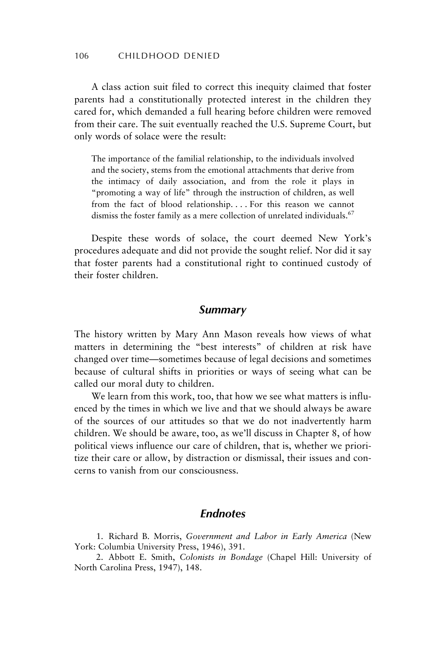A class action suit filed to correct this inequity claimed that foster parents had a constitutionally protected interest in the children they cared for, which demanded a full hearing before children were removed from their care. The suit eventually reached the U.S. Supreme Court, but only words of solace were the result:

The importance of the familial relationship, to the individuals involved and the society, stems from the emotional attachments that derive from the intimacy of daily association, and from the role it plays in "promoting a way of life" through the instruction of children, as well from the fact of blood relationship. ... For this reason we cannot dismiss the foster family as a mere collection of unrelated individuals. 67

Despite these words of solace, the court deemed New York's procedures adequate and did not provide the sought relief. Nor did it say that foster parents had a constitutional right to continued custody of their foster children.

#### *Summary*

The history written by Mary Ann Mason reveals how views of what matters in determining the "best interests" of children at risk have changed over time—sometimes because of legal decisions and sometimes because of cultural shifts in priorities or ways of seeing what can be called our moral duty to children.

We learn from this work, too, that how we see what matters is influenced by the times in which we live and that we should always be aware of the sources of our attitudes so that we do not inadvertently harm children. We should be aware, too, as we'll discuss in Chapter 8, of how political views influence our care of children, that is, whether we prioritize their care or allow, by distraction or dismissal, their issues and concerns to vanish from our consciousness.

## *Endnotes*

1. Richard B. Morris, *Government and Labor in Early America* (New York: Columbia University Press, 1946), 391.

2. Abbott E. Smith, *Colonists in Bondage* (Chapel Hill: University of North Carolina Press, 1947), 148.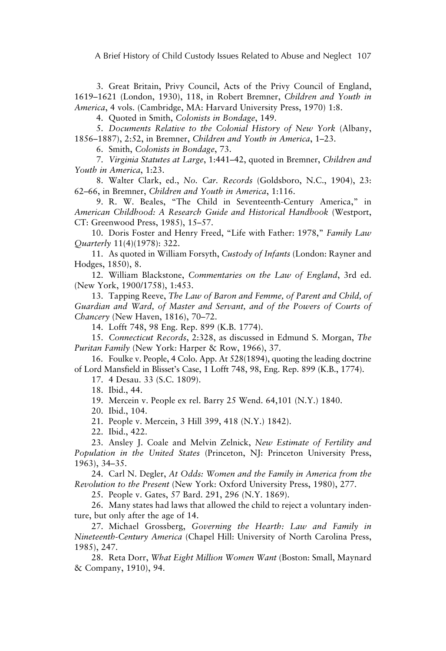A Brief History of Child Custody Issues Related to Abuse and Neglect 107

3. Great Britain, Privy Council, Acts of the Privy Council of England, 1619–1621 (London, 1930), 118, in Robert Bremner, *Children and Youth in America*, 4 vols. (Cambridge, MA: Harvard University Press, 1970) 1:8.

4. Quoted in Smith, *Colonists in Bondage*, 149.

5. *Documents Relative to the Colonial History of New York* (Albany, 1856–1887), 2:52, in Bremner, *Children and Youth in America*, 1–23.

6. Smith, *Colonists in Bondage*, 73.

7. *Virginia Statutes at Large*, 1:441–42, quoted in Bremner, *Children and Youth in America*, 1:23.

8. Walter Clark, ed., *No. Car. Records* (Goldsboro, N.C., 1904), 23: 62–66, in Bremner, *Children and Youth in America*, 1:116.

9. R. W. Beales, "The Child in Seventeenth-Century America," in *American Childhood: A Research Guide and Historical Handbook* (Westport, CT: Greenwood Press, 1985), 15–57.

10. Doris Foster and Henry Freed, "Life with Father: 1978," *Family Law Quarterly* 11(4)(1978): 322.

11. As quoted in William Forsyth, *Custody of Infants* (London: Rayner and Hodges, 1850), 8.

12. William Blackstone, *Commentaries on the Law of England*, 3rd ed. (New York, 1900/1758), 1:453.

13. Tapping Reeve, *The Law of Baron and Femme, of Parent and Child, of Guardian and Ward, of Master and Servant, and of the Powers of Courts of Chancery* (New Haven, 1816), 70–72.

14. Lofft 748, 98 Eng. Rep. 899 (K.B. 1774).

15. *Connecticut Records*, 2:328, as discussed in Edmund S. Morgan, *The Puritan Family* (New York: Harper & Row, 1966), 37.

16. Foulke v. People, 4 Colo. App. At 528(1894), quoting the leading doctrine of Lord Mansfield in Blisset's Case, 1 Lofft 748, 98, Eng. Rep. 899 (K.B., 1774).

17. 4 Desau. 33 (S.C. 1809).

18. Ibid., 44.

19. Mercein v. People ex rel. Barry 25 Wend. 64,101 (N.Y.) 1840.

20. Ibid., 104.

21. People v. Mercein, 3 Hill 399, 418 (N.Y.) 1842).

22. Ibid., 422.

23. Ansley J. Coale and Melvin Zelnick, *New Estimate of Fertility and Population in the United States* (Princeton, NJ: Princeton University Press, 1963), 34–35.

24. Carl N. Degler, *At Odds: Women and the Family in America from the Revolution to the Present* (New York: Oxford University Press, 1980), 277.

25. People v. Gates, 57 Bard. 291, 296 (N.Y. 1869).

26. Many states had laws that allowed the child to reject a voluntary indenture, but only after the age of 14.

27. Michael Grossberg, *Governing the Hearth: Law and Family in Nineteenth-Century America* (Chapel Hill: University of North Carolina Press, 1985), 247.

28. Reta Dorr, *What Eight Million Women Want* (Boston: Small, Maynard & Company, 1910), 94.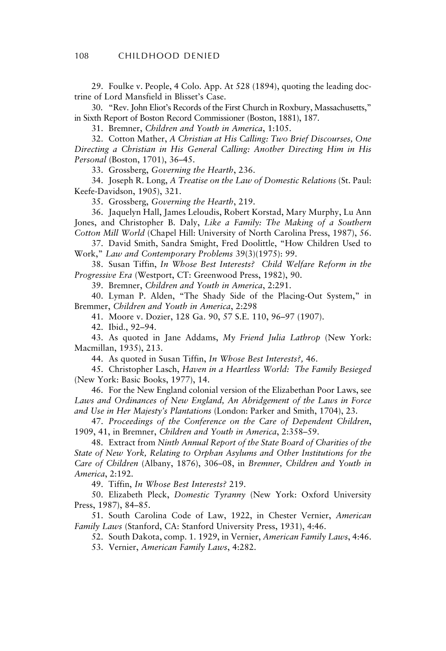#### 108 CHILDHOOD DENIED

29. Foulke v. People, 4 Colo. App. At 528 (1894), quoting the leading doctrine of Lord Mansfield in Blisset's Case.

30. "Rev. John Eliot's Records of the First Church in Roxbury, Massachusetts," in Sixth Report of Boston Record Commissioner (Boston, 1881), 187.

31. Bremner, *Children and Youth in America*, 1:105.

32. Cotton Mather, *A Christian at His Calling: Two Brief Discourses, One Directing a Christian in His General Calling: Another Directing Him in His Personal* (Boston, 1701), 36–45.

33. Grossberg, *Governing the Hearth*, 236.

34. Joseph R. Long, *A Treatise on the Law of Domestic Relations* (St. Paul: Keefe-Davidson, 1905), 321.

35. Grossberg, *Governing the Hearth*, 219.

36. Jaquelyn Hall, James Leloudis, Robert Korstad, Mary Murphy, Lu Ann Jones, and Christopher B. Daly, *Like a Family: The Making of a Southern Cotton Mill World* (Chapel Hill: University of North Carolina Press, 1987), 56.

37. David Smith, Sandra Smight, Fred Doolittle, "How Children Used to Work," *Law and Contemporary Problems* 39(3)(1975): 99.

38. Susan Tiffin, *In Whose Best Interests? Child Welfare Reform in the Progressive Era* (Westport, CT: Greenwood Press, 1982), 90.

39. Bremner, *Children and Youth in America*, 2:291.

40. Lyman P. Alden, "The Shady Side of the Placing-Out System," in Bremmer, *Children and Youth in America*, 2:298

41. Moore v. Dozier, 128 Ga. 90, 57 S.E. 110, 96–97 (1907).

42. Ibid., 92–94.

43. As quoted in Jane Addams, *My Friend Julia Lathrop* (New York: Macmillan, 1935), 213.

44. As quoted in Susan Tiffin, *In Whose Best Interests?,* 46.

45. Christopher Lasch, *Haven in a Heartless World: The Family Besieged* (New York: Basic Books, 1977), 14.

46. For the New England colonial version of the Elizabethan Poor Laws, see *Laws and Ordinances of New England, An Abridgement of the Laws in Force and Use in Her Majesty's Plantations* (London: Parker and Smith, 1704), 23.

47. *Proceedings of the Conference on the Care of Dependent Children*, 1909, 41, in Bremner, *Children and Youth in America*, 2:358–59.

48. Extract from *Ninth Annual Report of the State Board of Charities of the State of New York, Relating to Orphan Asylums and Other Institutions for the Care of Children* (Albany, 1876), 306–08, in *Bremner, Children and Youth in America*, 2:192.

49. Tiffin, *In Whose Best Interests?* 219.

50. Elizabeth Pleck, *Domestic Tyranny* (New York: Oxford University Press, 1987), 84–85.

51. South Carolina Code of Law, 1922, in Chester Vernier, *American Family Laws* (Stanford, CA: Stanford University Press, 1931), 4:46.

52. South Dakota, comp. 1. 1929, in Vernier, *American Family Laws*, 4:46.

53. Vernier, *American Family Laws*, 4:282.